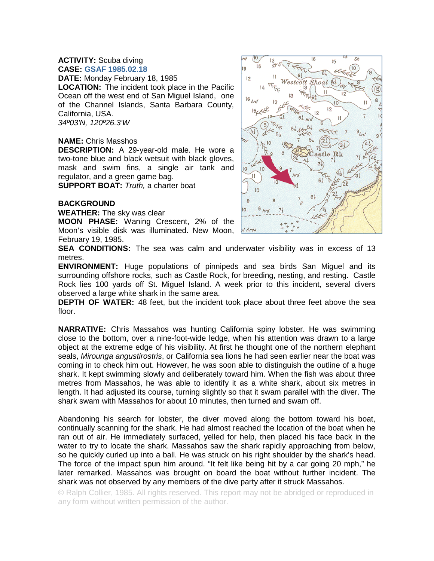## **ACTIVITY:** Scuba diving **CASE: GSAF 1985.02.18**

**DATE:** Monday February 18, 1985

**LOCATION:** The incident took place in the Pacific Ocean off the west end of San Miguel Island, one of the Channel Islands, Santa Barbara County, California, USA. *34º03'N, 120º26.3'W* 

## **NAME:** Chris Masshos

**DESCRIPTION:** A 29-year-old male. He wore a two-tone blue and black wetsuit with black gloves, mask and swim fins, a single air tank and regulator, and a green game bag.

**SUPPORT BOAT:** *Truth,* a charter boat

## **BACKGROUND**

**WEATHER:** The sky was clear

**MOON PHASE:** Waning Crescent, 2% of the Moon's visible disk was illuminated. New Moon, February 19, 1985.



**SEA CONDITIONS:** The sea was calm and underwater visibility was in excess of 13 metres.

**ENVIRONMENT:** Huge populations of pinnipeds and sea birds San Miguel and its surrounding offshore rocks, such as Castle Rock, for breeding, nesting, and resting. Castle Rock lies 100 yards off St. Miguel Island. A week prior to this incident, several divers observed a large white shark in the same area.

**DEPTH OF WATER:** 48 feet, but the incident took place about three feet above the sea floor.

**NARRATIVE:** Chris Massahos was hunting California spiny lobster. He was swimming close to the bottom, over a nine-foot-wide ledge, when his attention was drawn to a large object at the extreme edge of his visibility. At first he thought one of the northern elephant seals, *Mirounga angustirostris*, or California sea lions he had seen earlier near the boat was coming in to check him out. However, he was soon able to distinguish the outline of a huge shark. It kept swimming slowly and deliberately toward him. When the fish was about three metres from Massahos, he was able to identify it as a white shark, about six metres in length. It had adjusted its course, turning slightly so that it swam parallel with the diver. The shark swam with Massahos for about 10 minutes, then turned and swam off.

Abandoning his search for lobster, the diver moved along the bottom toward his boat, continually scanning for the shark. He had almost reached the location of the boat when he ran out of air. He immediately surfaced, yelled for help, then placed his face back in the water to try to locate the shark. Massahos saw the shark rapidly approaching from below, so he quickly curled up into a ball. He was struck on his right shoulder by the shark's head. The force of the impact spun him around. "It felt like being hit by a car going 20 mph," he later remarked. Massahos was brought on board the boat without further incident. The shark was not observed by any members of the dive party after it struck Massahos.

© Ralph Collier, 1985. All rights reserved. This report may not be abridged or reproduced in any form without written permission of the author.